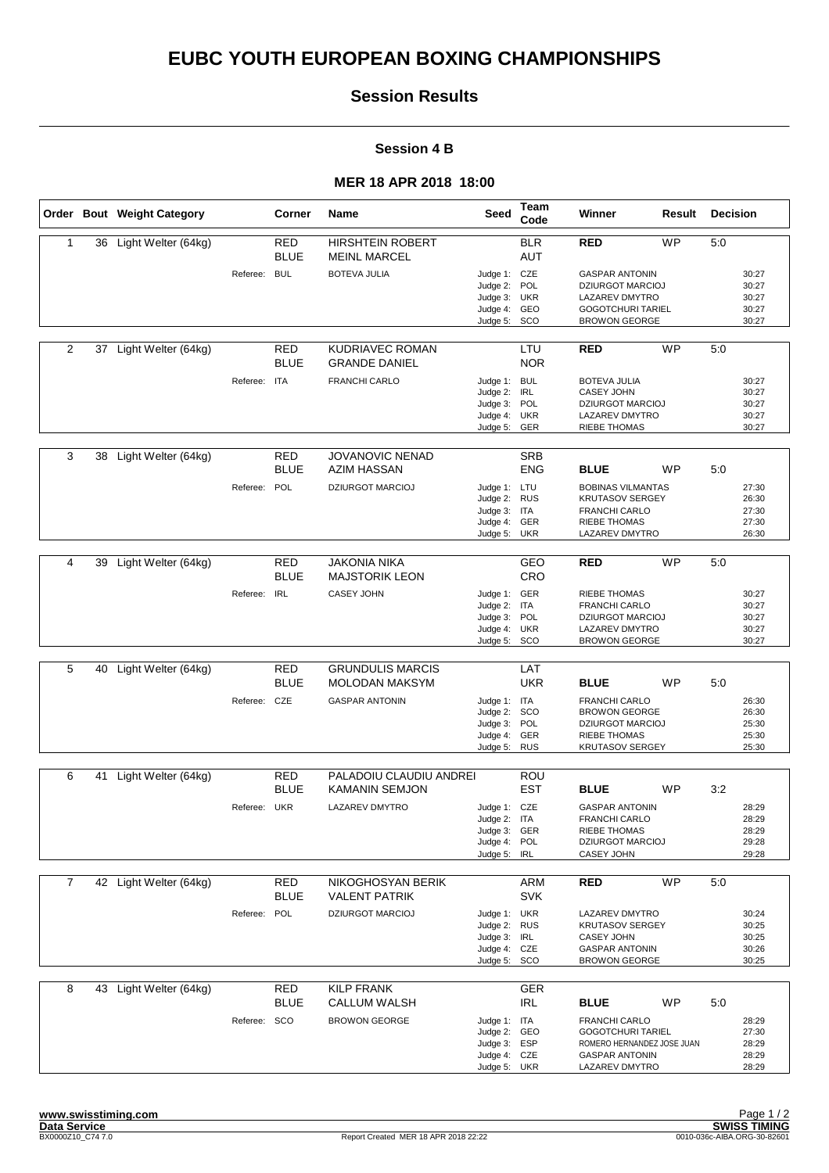# **EUBC YOUTH EUROPEAN BOXING CHAMPIONSHIPS**

## **Session Results**

#### **Session 4 B**

### **MER 18 APR 2018 18:00**

|                |    | Order Bout Weight Category |              | Corner                    | Name                                             | Seed                                                                         | Team<br>Code             | Winner                                                                                                                        | Result    | <b>Decision</b> |                                           |
|----------------|----|----------------------------|--------------|---------------------------|--------------------------------------------------|------------------------------------------------------------------------------|--------------------------|-------------------------------------------------------------------------------------------------------------------------------|-----------|-----------------|-------------------------------------------|
| 1              |    | 36 Light Welter (64kg)     |              | <b>RED</b><br><b>BLUE</b> | <b>HIRSHTEIN ROBERT</b><br><b>MEINL MARCEL</b>   |                                                                              | <b>BLR</b><br><b>AUT</b> | <b>RED</b>                                                                                                                    | <b>WP</b> | 5:0             |                                           |
|                |    |                            | Referee: BUL |                           | <b>BOTEVA JULIA</b>                              | Judge 1: CZE<br>Judge 2:<br>Judge 3:<br>Judge 4: GEO<br>Judge 5:             | POL<br><b>UKR</b><br>SCO | <b>GASPAR ANTONIN</b><br><b>DZIURGOT MARCIOJ</b><br><b>LAZAREV DMYTRO</b><br><b>GOGOTCHURI TARIEL</b><br><b>BROWON GEORGE</b> |           |                 | 30:27<br>30:27<br>30:27<br>30:27<br>30:27 |
| $\overline{2}$ | 37 | Light Welter (64kg)        |              | RED<br><b>BLUE</b>        | KUDRIAVEC ROMAN<br><b>GRANDE DANIEL</b>          |                                                                              | LTU<br><b>NOR</b>        | <b>RED</b>                                                                                                                    | <b>WP</b> | 5:0             |                                           |
|                |    |                            | Referee: ITA |                           | <b>FRANCHI CARLO</b>                             | Judge 1: BUL<br>Judge 2: IRL<br>Judge 3: POL<br>Judge 4: UKR<br>Judge 5: GER |                          | <b>BOTEVA JULIA</b><br>CASEY JOHN<br><b>DZIURGOT MARCIOJ</b><br>LAZAREV DMYTRO<br><b>RIEBE THOMAS</b>                         |           |                 | 30:27<br>30:27<br>30:27<br>30:27<br>30:27 |
| 3              | 38 | Light Welter (64kg)        |              | <b>RED</b><br><b>BLUE</b> | <b>JOVANOVIC NENAD</b><br><b>AZIM HASSAN</b>     |                                                                              | <b>SRB</b><br><b>ENG</b> | <b>BLUE</b>                                                                                                                   | <b>WP</b> | 5:0             |                                           |
|                |    |                            | Referee: POL |                           | <b>DZIURGOT MARCIOJ</b>                          | Judge 1: LTU<br>Judge 2: RUS<br>Judge 3: ITA<br>Judge 4: GER<br>Judge 5: UKR |                          | <b>BOBINAS VILMANTAS</b><br><b>KRUTASOV SERGEY</b><br><b>FRANCHI CARLO</b><br><b>RIEBE THOMAS</b><br>LAZAREV DMYTRO           |           |                 | 27:30<br>26:30<br>27:30<br>27:30<br>26:30 |
| 4              | 39 | Light Welter (64kg)        |              | <b>RED</b>                | <b>JAKONIA NIKA</b>                              |                                                                              | GEO                      | <b>RED</b>                                                                                                                    | <b>WP</b> | 5:0             |                                           |
|                |    |                            | Referee: IRL | <b>BLUE</b>               | <b>MAJSTORIK LEON</b><br><b>CASEY JOHN</b>       | Judge 1: GER                                                                 | CRO                      | <b>RIEBE THOMAS</b>                                                                                                           |           |                 | 30:27                                     |
|                |    |                            |              |                           |                                                  | Judge 2: ITA<br>Judge 3: POL<br>Judge 4: UKR<br>Judge 5: SCO                 |                          | <b>FRANCHI CARLO</b><br><b>DZIURGOT MARCIOJ</b><br>LAZAREV DMYTRO<br><b>BROWON GEORGE</b>                                     |           |                 | 30:27<br>30:27<br>30:27<br>30:27          |
|                |    |                            |              |                           |                                                  |                                                                              |                          |                                                                                                                               |           |                 |                                           |
| 5              | 40 | Light Welter (64kg)        |              | <b>RED</b><br><b>BLUE</b> | <b>GRUNDULIS MARCIS</b><br><b>MOLODAN MAKSYM</b> |                                                                              | LAT<br><b>UKR</b>        | <b>BLUE</b>                                                                                                                   | <b>WP</b> | 5:0             |                                           |
|                |    |                            | Referee: CZE |                           | <b>GASPAR ANTONIN</b>                            | Judge 1: ITA<br>Judge 2: SCO<br>Judge 3: POL<br>Judge 4: GER<br>Judge 5:     | <b>RUS</b>               | <b>FRANCHI CARLO</b><br><b>BROWON GEORGE</b><br><b>DZIURGOT MARCIOJ</b><br><b>RIEBE THOMAS</b><br><b>KRUTASOV SERGEY</b>      |           |                 | 26:30<br>26:30<br>25:30<br>25:30<br>25:30 |
| 6              | 41 | Light Welter (64kg)        |              | RED                       | PALADOIU CLAUDIU ANDREI                          |                                                                              | ROU                      |                                                                                                                               |           |                 |                                           |
|                |    |                            |              | <b>BLUE</b>               | <b>KAMANIN SEMJON</b>                            |                                                                              | <b>EST</b>               | <b>BLUE</b>                                                                                                                   | <b>WP</b> | 3:2             |                                           |
|                |    |                            | Referee: UKR |                           | <b>LAZAREV DMYTRO</b>                            | Judge 1: CZE<br>Judge 2: ITA<br>Judge 3: GER<br>Judge 4: POL<br>Judge 5: IRL |                          | <b>GASPAR ANTONIN</b><br><b>FRANCHI CARLO</b><br><b>RIEBE THOMAS</b><br><b>DZIURGOT MARCIOJ</b><br>CASEY JOHN                 |           |                 | 28:29<br>28:29<br>28:29<br>29:28<br>29:28 |
| $\overline{7}$ |    | 42 Light Welter (64kg)     |              | <b>RED</b>                | NIKOGHOSYAN BERIK                                |                                                                              | <b>ARM</b>               | <b>RED</b>                                                                                                                    | <b>WP</b> | 5:0             |                                           |
|                |    |                            | Referee: POL | <b>BLUE</b>               | <b>VALENT PATRIK</b><br><b>DZIURGOT MARCIOJ</b>  | Judge 1: UKR<br>Judge 2: RUS<br>Judge 3: IRL<br>Judge 4: CZE<br>Judge 5: SCO | <b>SVK</b>               | LAZAREV DMYTRO<br><b>KRUTASOV SERGEY</b><br>CASEY JOHN<br><b>GASPAR ANTONIN</b><br><b>BROWON GEORGE</b>                       |           |                 | 30:24<br>30:25<br>30:25<br>30:26<br>30:25 |
| 8              | 43 | Light Welter (64kg)        |              | <b>RED</b>                | <b>KILP FRANK</b>                                |                                                                              | <b>GER</b>               |                                                                                                                               |           |                 |                                           |
|                |    |                            |              | <b>BLUE</b>               | <b>CALLUM WALSH</b>                              |                                                                              | <b>IRL</b>               | <b>BLUE</b>                                                                                                                   | WP        | 5:0             |                                           |
|                |    |                            | Referee: SCO |                           | <b>BROWON GEORGE</b>                             | Judge 1: ITA<br>Judge 2: GEO<br>Judge 3: ESP<br>Judge 4: CZE<br>Judge 5: UKR |                          | <b>FRANCHI CARLO</b><br><b>GOGOTCHURI TARIEL</b><br>ROMERO HERNANDEZ JOSE JUAN<br><b>GASPAR ANTONIN</b><br>LAZAREV DMYTRO     |           |                 | 28:29<br>27:30<br>28:29<br>28:29<br>28:29 |